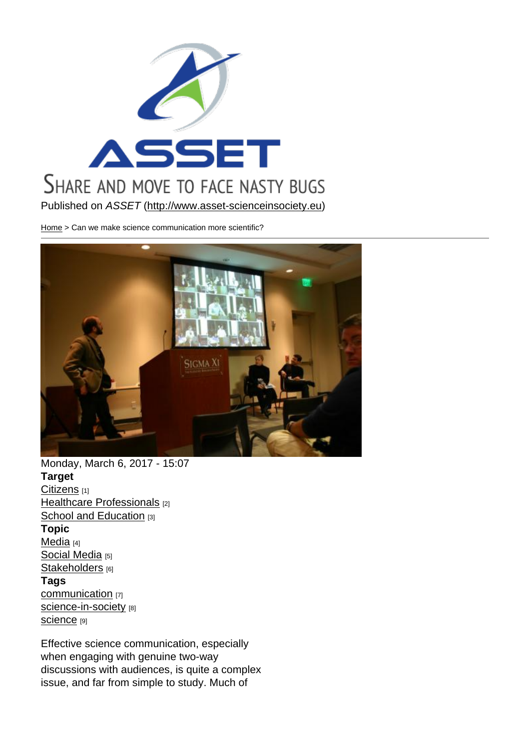Published on ASSET (http://www.asset-scienceinsociety.eu)

Home > Can we make science communication more scientific?

Monday, March 6, 2017 - 15:07 Target Citizens [1] Healthcare Professionals [2] School and Education [3] [Topic](http://www.asset-scienceinsociety.eu/target/citizens)  [Media](http://www.asset-scienceinsociety.eu/target/healthcare-professionals) [4] [Social Media](http://www.asset-scienceinsociety.eu/target/school-and-education) [5] Stakeholders [6] [Tags](http://www.asset-scienceinsociety.eu/topic/media)  [communicatio](http://www.asset-scienceinsociety.eu/topic/social-media)n [7] [science-in-so](http://www.asset-scienceinsociety.eu/topic/stakeholders)ciety [8] Science [9]

[Effective scienc](http://www.asset-scienceinsociety.eu/tags/communication)e communication, especially [when engaging wi](http://www.asset-scienceinsociety.eu/tags/science-society)th genuine two-way [discussi](http://www.asset-scienceinsociety.eu/tags/science)ons with audiences, is quite a complex issue, and far from simple to study. Much of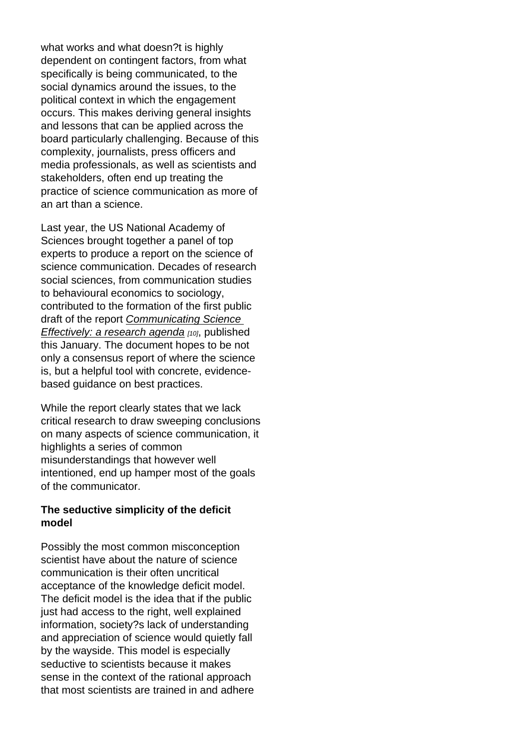what works and what doesn?t is highly dependent on contingent factors, from what specifically is being communicated, to the social dynamics around the issues, to the political context in which the engagement occurs. This makes deriving general insights and lessons that can be applied across the board particularly challenging. Because of this complexity, journalists, press officers and media professionals, as well as scientists and stakeholders, often end up treating the practice of science communication as more of an art than a science.

Last year, the US National Academy of Sciences brought together a panel of top experts to produce a report on the science of science communication. Decades of research social sciences, from communication studies to behavioural economics to sociology, contributed to the formation of the first public draft of the report Communicating Science Effectively: a research agenda [10], published this January. The document hopes to be not only a consensus [report of where the scien](https://www.nap.edu/catalog/23674/communicating-science-effectively-a-research-agenda)ce [is, but a helpful tool with concre](https://www.nap.edu/catalog/23674/communicating-science-effectively-a-research-agenda)te, evidencebased guidance on best practices.

While the report clearly states that we lack critical research to draw sweeping conclusions on many aspects of science communication, it highlights a series of common misunderstandings that however well intentioned, end up hamper most of the goals of the communicator.

The seductive simplicity of the deficit model

Possibly the most common misconception scientist have about the nature of science communication is their often uncritical acceptance of the knowledge deficit model. The deficit model is the idea that if the public just had access to the right, well explained information, society?s lack of understanding and appreciation of science would quietly fall by the wayside. This model is especially seductive to scientists because it makes sense in the context of the rational approach that most scientists are trained in and adhere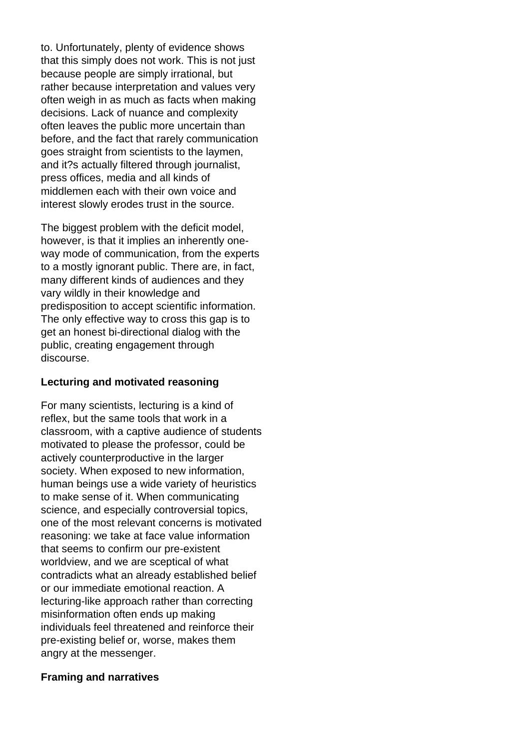to. Unfortunately, plenty of evidence shows that this simply does not work. This is not just because people are simply irrational, but rather because interpretation and values very often weigh in as much as facts when making decisions. Lack of nuance and complexity often leaves the public more uncertain than before, and the fact that rarely communication goes straight from scientists to the laymen, and it?s actually filtered through journalist, press offices, media and all kinds of middlemen each with their own voice and interest slowly erodes trust in the source.

The biggest problem with the deficit model, however, is that it implies an inherently oneway mode of communication, from the experts to a mostly ignorant public. There are, in fact, many different kinds of audiences and they vary wildly in their knowledge and predisposition to accept scientific information. The only effective way to cross this gap is to get an honest bi-directional dialog with the public, creating engagement through discourse.

### **Lecturing and motivated reasoning**

For many scientists, lecturing is a kind of reflex, but the same tools that work in a classroom, with a captive audience of students motivated to please the professor, could be actively counterproductive in the larger society. When exposed to new information, human beings use a wide variety of heuristics to make sense of it. When communicating science, and especially controversial topics, one of the most relevant concerns is motivated reasoning: we take at face value information that seems to confirm our pre-existent worldview, and we are sceptical of what contradicts what an already established belief or our immediate emotional reaction. A lecturing-like approach rather than correcting misinformation often ends up making individuals feel threatened and reinforce their pre-existing belief or, worse, makes them angry at the messenger.

### **Framing and narratives**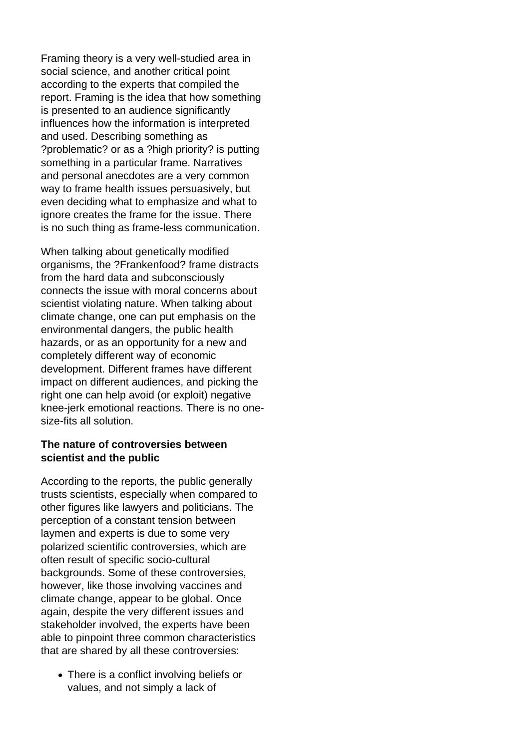Framing theory is a very well-studied area in social science, and another critical point according to the experts that compiled the report. Framing is the idea that how something is presented to an audience significantly influences how the information is interpreted and used. Describing something as ?problematic? or as a ?high priority? is putting something in a particular frame. Narratives and personal anecdotes are a very common way to frame health issues persuasively, but even deciding what to emphasize and what to ignore creates the frame for the issue. There is no such thing as frame-less communication.

When talking about genetically modified organisms, the ?Frankenfood? frame distracts from the hard data and subconsciously connects the issue with moral concerns about scientist violating nature. When talking about climate change, one can put emphasis on the environmental dangers, the public health hazards, or as an opportunity for a new and completely different way of economic development. Different frames have different impact on different audiences, and picking the right one can help avoid (or exploit) negative knee-jerk emotional reactions. There is no onesize-fits all solution.

### **The nature of controversies between scientist and the public**

According to the reports, the public generally trusts scientists, especially when compared to other figures like lawyers and politicians. The perception of a constant tension between laymen and experts is due to some very polarized scientific controversies, which are often result of specific socio-cultural backgrounds. Some of these controversies, however, like those involving vaccines and climate change, appear to be global. Once again, despite the very different issues and stakeholder involved, the experts have been able to pinpoint three common characteristics that are shared by all these controversies:

There is a conflict involving beliefs or values, and not simply a lack of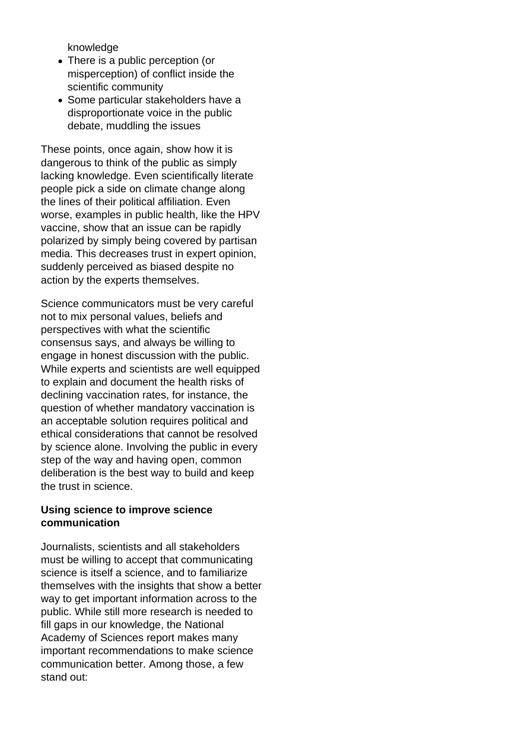knowledge

- There is a public perception (or misperception) of conflict inside the scientific community
- Some particular stakeholders have a disproportionate voice in the public debate, muddling the issues

These points, once again, show how it is dangerous to think of the public as simply lacking knowledge. Even scientifically literate people pick a side on climate change along the lines of their political affiliation. Even worse, examples in public health, like the HPV vaccine, show that an issue can be rapidly polarized by simply being covered by partisan media. This decreases trust in expert opinion, suddenly perceived as biased despite no action by the experts themselves.

Science communicators must be very careful not to mix personal values, beliefs and perspectives with what the scientific consensus says, and always be willing to engage in honest discussion with the public. While experts and scientists are well equipped to explain and document the health risks of declining vaccination rates, for instance, the question of whether mandatory vaccination is an acceptable solution requires political and ethical considerations that cannot be resolved by science alone. Involving the public in every step of the way and having open, common deliberation is the best way to build and keep the trust in science.

### **Using science to improve science communication**

Journalists, scientists and all stakeholders must be willing to accept that communicating science is itself a science, and to familiarize themselves with the insights that show a better way to get important information across to the public. While still more research is needed to fill gaps in our knowledge, the National Academy of Sciences report makes many important recommendations to make science communication better. Among those, a few stand out: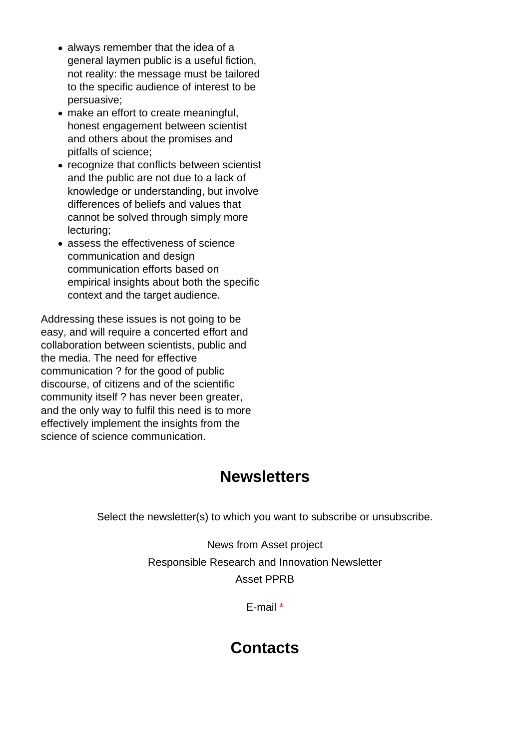- always remember that the idea of a general laymen public is a useful fiction, not reality: the message must be tailored to the specific audience of interest to be persuasive;
- make an effort to create meaningful, honest engagement between scientist and others about the promises and pitfalls of science;
- recognize that conflicts between scientist and the public are not due to a lack of knowledge or understanding, but involve differences of beliefs and values that cannot be solved through simply more lecturing;
- assess the effectiveness of science communication and design communication efforts based on empirical insights about both the specific context and the target audience.

Addressing these issues is not going to be easy, and will require a concerted effort and collaboration between scientists, public and the media. The need for effective communication ? for the good of public discourse, of citizens and of the scientific community itself ? has never been greater, and the only way to fulfil this need is to more effectively implement the insights from the science of science communication.

### **Newsletters**

Select the newsletter(s) to which you want to subscribe or unsubscribe.

News from Asset project Responsible Research and Innovation Newsletter Asset PPRB

E-mail \*

### **Contacts**